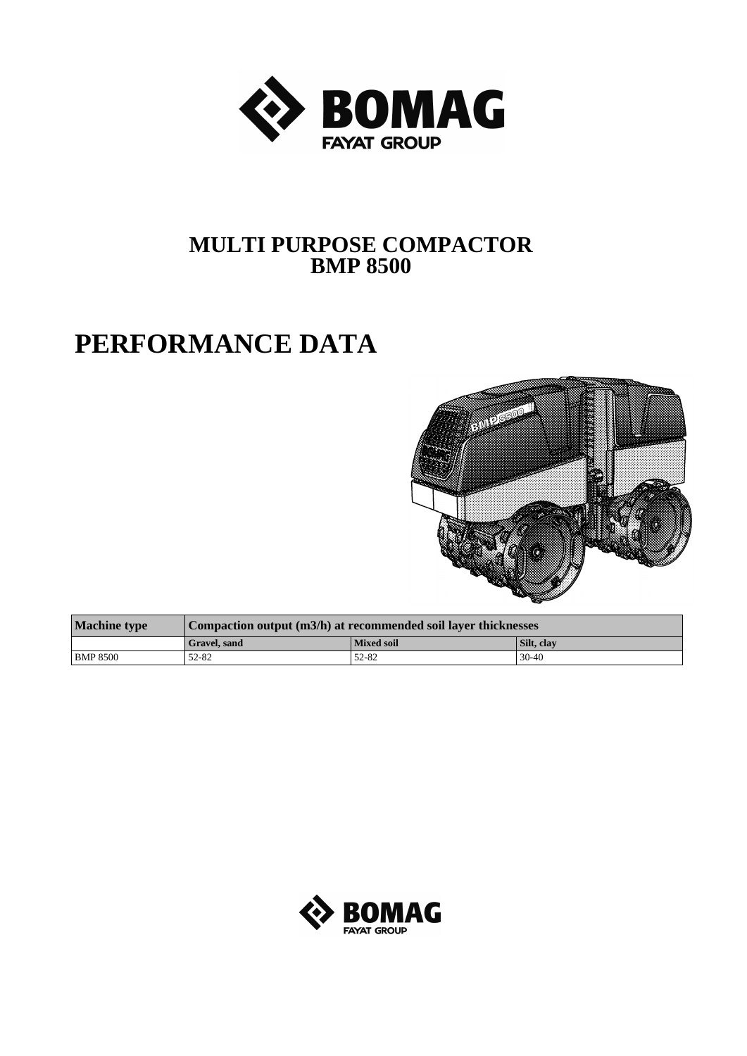

## **MULTI PURPOSE COMPACTOR BMP 8500**

## **PERFORMANCE DATA**



| <b>Machine type</b> | Compaction output (m3/h) at recommended soil layer thicknesses |                   |            |  |  |
|---------------------|----------------------------------------------------------------|-------------------|------------|--|--|
|                     | Gravel. sand                                                   | <b>Mixed soil</b> | Silt, clay |  |  |
| BMP 8500            | 52-82                                                          | 52-82             | $30-40$    |  |  |